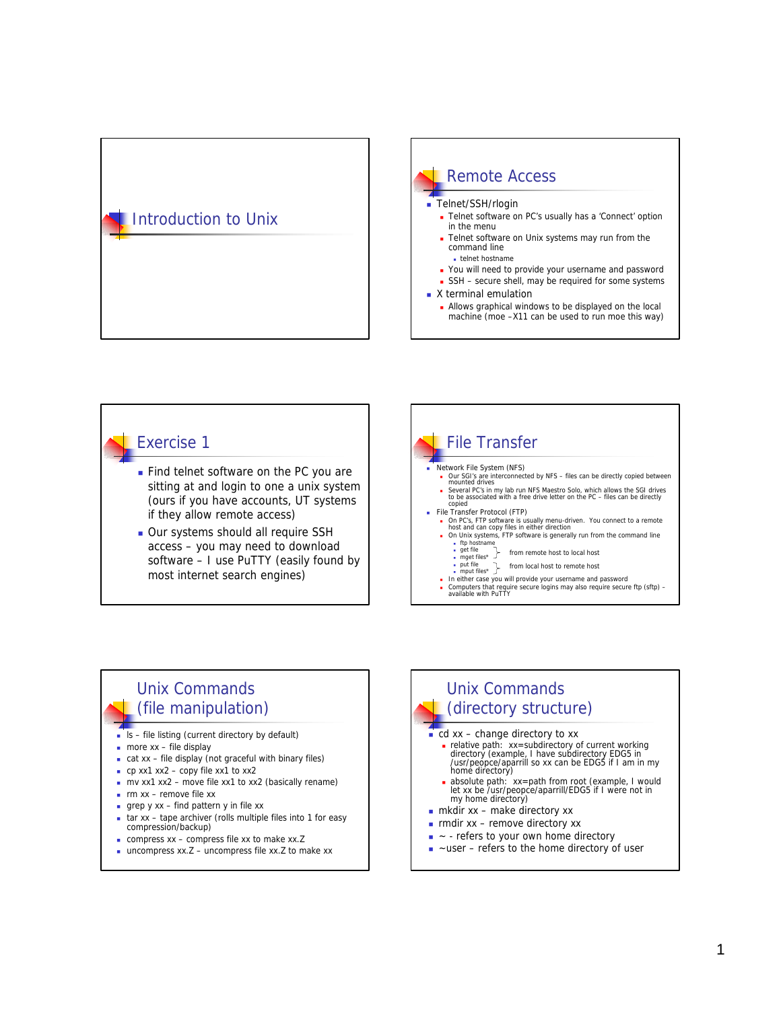# Introduction to Unix



### Exercise 1

- **Find telnet software on the PC you are** sitting at and login to one a unix system (ours if you have accounts, UT systems if they allow remote access)
- **Dur systems should all require SSH** access – you may need to download software – I use PuTTY (easily found by most internet search engines)



#### Unix Commands (file manipulation)

- $s f$ ile listing (current directory by default)
- $\blacksquare$  more xx file display
- $\overline{\phantom{a}}$  cat xx file display (not graceful with binary files)
- $\bullet$  cp xx1 xx2 copy file xx1 to xx2
- n mv xx1 xx2 move file xx1 to xx2 (basically rename)
- $\blacksquare$  rm xx remove file xx
- grep  $y$  xx find pattern  $y$  in file xx
- $\overline{\phantom{a}}$  tar xx tape archiver (rolls multiple files into 1 for easy compression/backup)
- $\blacksquare$  compress xx compress file xx to make xx.Z
- $\blacksquare$  uncompress xx.Z uncompress file xx.Z to make xx

# Unix Commands (directory structure)

- $\overline{\phantom{a}}$  cd xx change directory to xx
	- <sup>n</sup> relative path: xx=subdirectory of current working directory (example, I have subdirectory EDG5 in /usr/peopce/aparrill so xx can be EDG5 if I am in my home directory)
	- <sup>n</sup> absolute path: xx=path from root (example, I would let xx be /usr/peopce/aparrill/EDG5 if I were not in my home directory)
- $\blacksquare$  mkdir xx make directory xx
- $\blacksquare$  rmdir xx remove directory xx
- ~ refers to your own home directory
- ~user refers to the home directory of user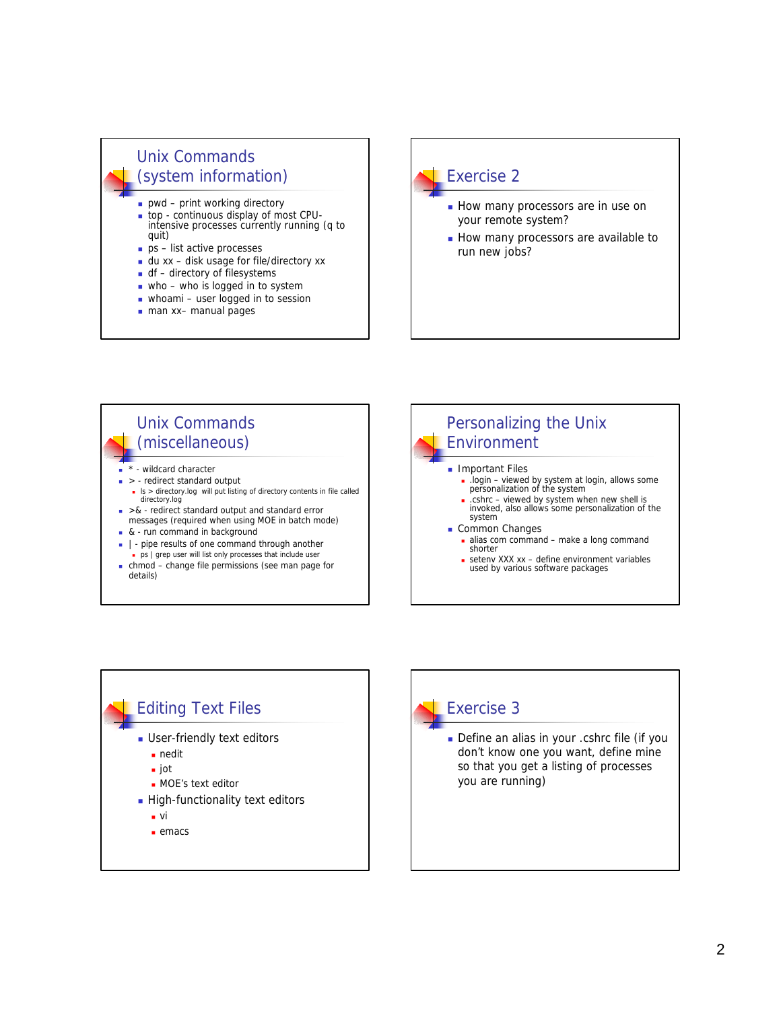## Unix Commands (system information)

- $pwd print$  working directory
- <sup>n</sup> top continuous display of most CPUintensive processes currently running (q to quit)
- $p s$  list active processes
- $\blacksquare$  du xx disk usage for file/directory xx
- $\blacksquare$  df directory of filesystems
- $\blacksquare$  who who is logged in to system
- $\blacksquare$  whoami user logged in to session
- man xx– manual pages

# Exercise 2 **How many processors are in use on** your remote system? **How many processors are available to** run new jobs?





### Exercise 3

Define an alias in your .cshrc file (if you don't know one you want, define mine so that you get a listing of processes you are running)